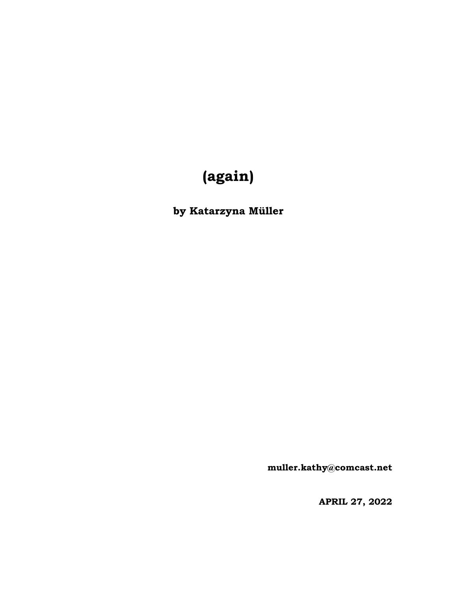# **(again)**

**by Katarzyna Müller**

**[muller.kathy@comcast.net](mailto:muller.kathy@comcast.net)**

**APRIL 27, 2022**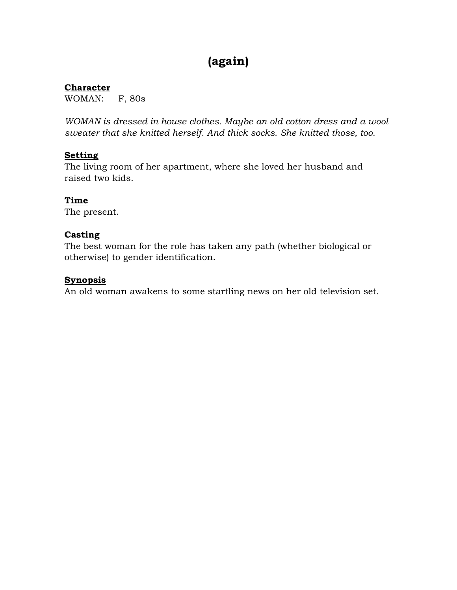# **(again)**

#### **Character**

WOMAN: F, 80s

*WOMAN is dressed in house clothes. Maybe an old cotton dress and a wool sweater that she knitted herself. And thick socks. She knitted those, too.*

## **Setting**

The living room of her apartment, where she loved her husband and raised two kids.

## **Time**

The present.

#### **Casting**

The best woman for the role has taken any path (whether biological or otherwise) to gender identification.

#### **Synopsis**

An old woman awakens to some startling news on her old television set.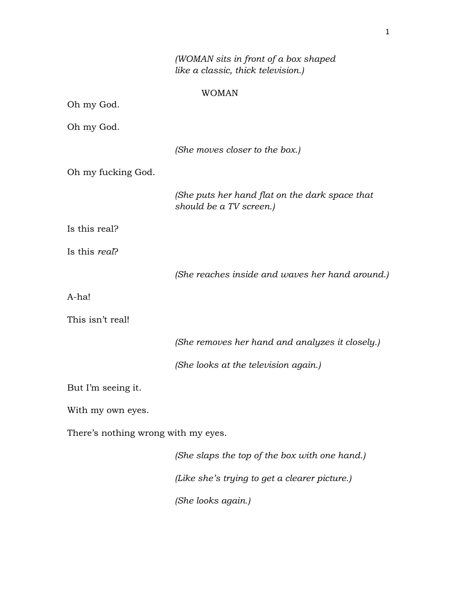*(WOMAN sits in front of a box shaped like a classic, thick television.)* WOMAN *(She moves closer to the box.)*

Oh my fucking God.

*(She puts her hand flat on the dark space that should be a TV screen.)*

Is this real?

Oh my God.

Oh my God.

Is this *real*?

*(She reaches inside and waves her hand around.)*

A-ha!

This isn't real!

*(She removes her hand and analyzes it closely.)*

*(She looks at the television again.)*

But I'm seeing it.

With my own eyes.

There's nothing wrong with my eyes.

*(She slaps the top of the box with one hand.) (Like she's trying to get a clearer picture.) (She looks again.)*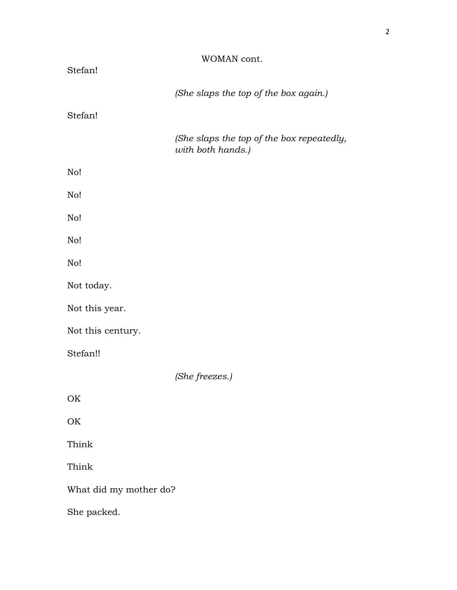|                        | WOMAN cont.                                                    |
|------------------------|----------------------------------------------------------------|
| Stefan!                |                                                                |
|                        | (She slaps the top of the box again.)                          |
| Stefan!                |                                                                |
|                        | (She slaps the top of the box repeatedly,<br>with both hands.) |
| No!                    |                                                                |
| No!                    |                                                                |
| No!                    |                                                                |
| No!                    |                                                                |
| No!                    |                                                                |
| Not today.             |                                                                |
| Not this year.         |                                                                |
| Not this century.      |                                                                |
| Stefan!!               |                                                                |
|                        | (She freezes.)                                                 |
| OK                     |                                                                |
| OK                     |                                                                |
| Think                  |                                                                |
| Think                  |                                                                |
| What did my mother do? |                                                                |
| She packed.            |                                                                |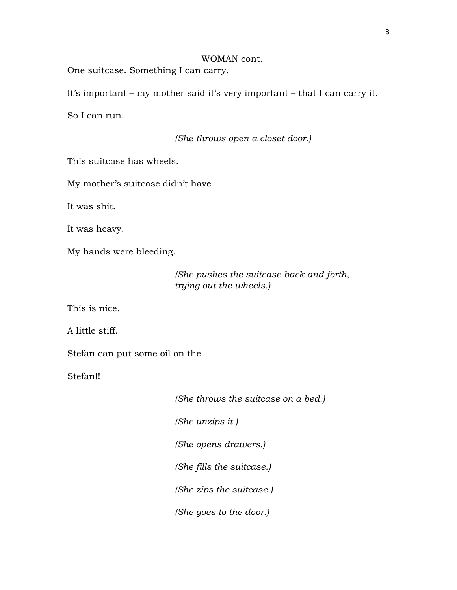#### WOMAN cont.

One suitcase. Something I can carry.

It's important – my mother said it's very important – that I can carry it.

So I can run.

*(She throws open a closet door.)*

This suitcase has wheels.

My mother's suitcase didn't have –

It was shit.

It was heavy.

My hands were bleeding.

*(She pushes the suitcase back and forth, trying out the wheels.)*

This is nice.

A little stiff.

Stefan can put some oil on the –

Stefan!!

*(She throws the suitcase on a bed.)*

*(She unzips it.)*

*(She opens drawers.)*

*(She fills the suitcase.)*

*(She zips the suitcase.)*

*(She goes to the door.)*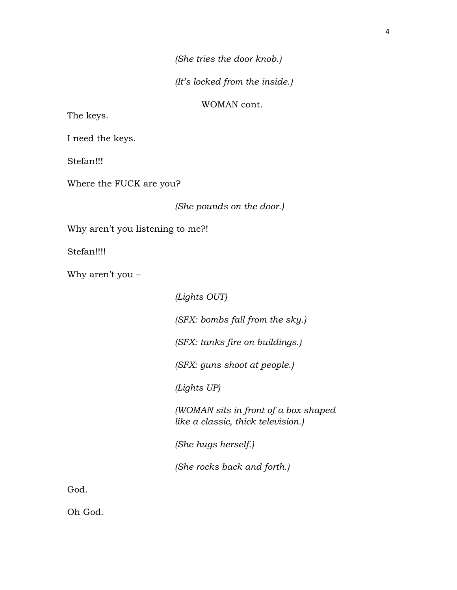*(She tries the door knob.)*

*(It's locked from the inside.)*

WOMAN cont.

The keys.

I need the keys.

Stefan!!!

Where the FUCK are you?

*(She pounds on the door.)*

Why aren't you listening to me?!

Stefan!!!!

Why aren't you –

*(Lights OUT) (SFX: bombs fall from the sky.) (SFX: tanks fire on buildings.) (SFX: guns shoot at people.) (Lights UP)*

*(WOMAN sits in front of a box shaped like a classic, thick television.)*

*(She hugs herself.)*

*(She rocks back and forth.)*

God.

Oh God.